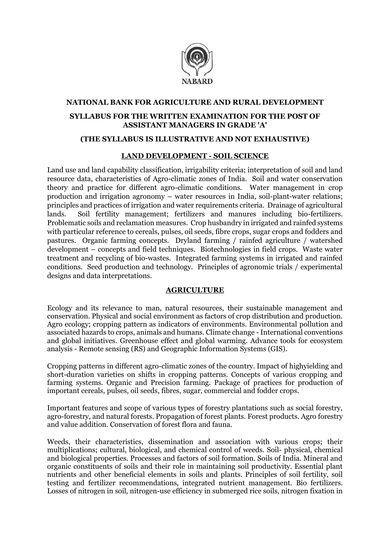

## **NATIONAL BANK FOR AGRICULTURE AND RURAL DEVELOPMENT SYLLABUS FOR THE WRITTEN EXAMINATION FOR THE POST OF ASSISTANT MANAGERS IN GRADE 'A'**

#### **(THE SYLLABUS IS ILLUSTRATIVE AND NOT EXHAUSTIVE)**

#### **LAND DEVELOPMENT - SOIL SCIENCE**

Land use and land capability classification, irrigability criteria; interpretation of soil and land resource data, characteristics of Agro-climatic zones of India. Soil and water conservation theory and practice for different agro-climatic conditions. Water management in crop production and irrigation agronomy – water resources in India, soil-plant-water relations; principles and practices of irrigation and water requirements criteria. Drainage of agricultural lands. Soil fertility management; fertilizers and manures including bio-fertilizers. Problematic soils and reclamation measures. Crop husbandry in irrigated and rainfed systems with particular reference to cereals, pulses, oil seeds, fibre crops, sugar crops and fodders and pastures. Organic farming concepts. Dryland farming / rainfed agriculture / watershed development – concepts and field techniques. Biotechnologies in field crops. Waste water treatment and recycling of bio-wastes. Integrated farming systems in irrigated and rainfed conditions. Seed production and technology. Principles of agronomic trials / experimental designs and data interpretations.

#### **AGRICULTURE**

Ecology and its relevance to man, natural resources, their sustainable management and conservation. Physical and social environment as factors of crop distribution and production. Agro ecology; cropping pattern as indicators of environments. Environmental pollution and associated hazards to crops, animals and humans. Climate change - International conventions and global initiatives. Greenhouse effect and global warming. Advance tools for ecosystem analysis - Remote sensing (RS) and Geographic Information Systems (GIS).

Cropping patterns in different agro-climatic zones of the country. Impact of highyielding and short-duration varieties on shifts in cropping patterns. Concepts of various cropping and farming systems. Organic and Precision farming. Package of practices for production of important cereals, pulses, oil seeds, fibres, sugar, commercial and fodder crops.

Important features and scope of various types of forestry plantations such as social forestry, agro-forestry, and natural forests. Propagation of forest plants. Forest products. Agro forestry and value addition. Conservation of forest flora and fauna.

Weeds, their characteristics, dissemination and association with various crops; their multiplications; cultural, biological, and chemical control of weeds. Soil- physical, chemical and biological properties. Processes and factors of soil formation. Soils of India. Mineral and organic constituents of soils and their role in maintaining soil productivity. Essential plant nutrients and other beneficial elements in soils and plants. Principles of soil fertility, soil testing and fertilizer recommendations, integrated nutrient management. Bio fertilizers. Losses of nitrogen in soil, nitrogen-use efficiency in submerged rice soils, nitrogen fixation in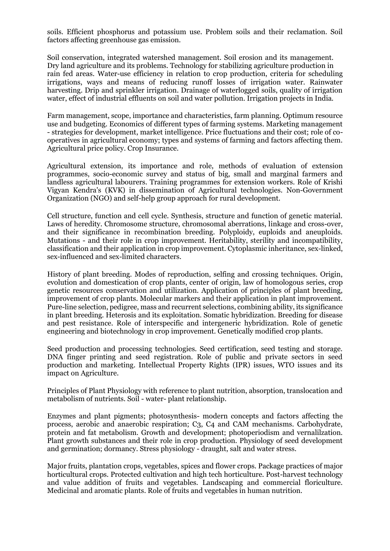soils. Efficient phosphorus and potassium use. Problem soils and their reclamation. Soil factors affecting greenhouse gas emission.

Soil conservation, integrated watershed management. Soil erosion and its management. Dry land agriculture and its problems. Technology for stabilizing agriculture production in rain fed areas. Water-use efficiency in relation to crop production, criteria for scheduling irrigations, ways and means of reducing runoff losses of irrigation water. Rainwater harvesting. Drip and sprinkler irrigation. Drainage of waterlogged soils, quality of irrigation water, effect of industrial effluents on soil and water pollution. Irrigation projects in India.

Farm management, scope, importance and characteristics, farm planning. Optimum resource use and budgeting. Economics of different types of farming systems. Marketing management - strategies for development, market intelligence. Price fluctuations and their cost; role of cooperatives in agricultural economy; types and systems of farming and factors affecting them. Agricultural price policy. Crop Insurance.

Agricultural extension, its importance and role, methods of evaluation of extension programmes, socio-economic survey and status of big, small and marginal farmers and landless agricultural labourers. Training programmes for extension workers. Role of Krishi Vigyan Kendra's (KVK) in dissemination of Agricultural technologies. Non-Government Organization (NGO) and self-help group approach for rural development.

Cell structure, function and cell cycle. Synthesis, structure and function of genetic material. Laws of heredity. Chromosome structure, chromosomal aberrations, linkage and cross-over, and their significance in recombination breeding. Polyploidy, euploids and aneuploids. Mutations - and their role in crop improvement. Heritability, sterility and incompatibility, classification and their application in crop improvement. Cytoplasmic inheritance, sex-linked, sex-influenced and sex-limited characters.

History of plant breeding. Modes of reproduction, selfing and crossing techniques. Origin, evolution and domestication of crop plants, center of origin, law of homologous series, crop genetic resources conservation and utilization. Application of principles of plant breeding, improvement of crop plants. Molecular markers and their application in plant improvement. Pure-line selection, pedigree, mass and recurrent selections, combining ability, its significance in plant breeding. Heterosis and its exploitation. Somatic hybridization. Breeding for disease and pest resistance. Role of interspecific and intergeneric hybridization. Role of genetic engineering and biotechnology in crop improvement. Genetically modified crop plants.

Seed production and processing technologies. Seed certification, seed testing and storage. DNA finger printing and seed registration. Role of public and private sectors in seed production and marketing. Intellectual Property Rights (IPR) issues, WTO issues and its impact on Agriculture.

Principles of Plant Physiology with reference to plant nutrition, absorption, translocation and metabolism of nutrients. Soil - water- plant relationship.

Enzymes and plant pigments; photosynthesis- modern concepts and factors affecting the process, aerobic and anaerobic respiration; C3, C4 and CAM mechanisms. Carbohydrate, protein and fat metabolism. Growth and development; photoperiodism and vernalilzation. Plant growth substances and their role in crop production. Physiology of seed development and germination; dormancy. Stress physiology - draught, salt and water stress.

Major fruits, plantation crops, vegetables, spices and flower crops. Package practices of major horticultural crops. Protected cultivation and high tech horticulture. Post-harvest technology and value addition of fruits and vegetables. Landscaping and commercial floriculture. Medicinal and aromatic plants. Role of fruits and vegetables in human nutrition.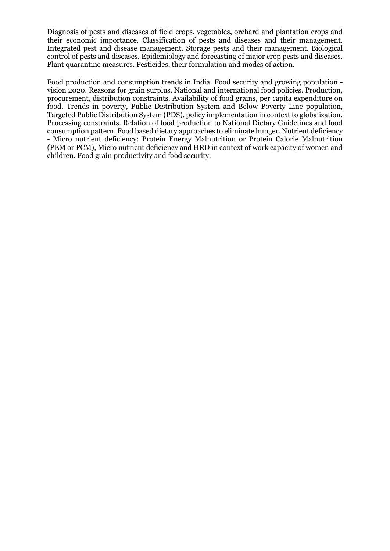Diagnosis of pests and diseases of field crops, vegetables, orchard and plantation crops and their economic importance. Classification of pests and diseases and their management. Integrated pest and disease management. Storage pests and their management. Biological control of pests and diseases. Epidemiology and forecasting of major crop pests and diseases. Plant quarantine measures. Pesticides, their formulation and modes of action.

Food production and consumption trends in India. Food security and growing population vision 2020. Reasons for grain surplus. National and international food policies. Production, procurement, distribution constraints. Availability of food grains, per capita expenditure on food. Trends in poverty, Public Distribution System and Below Poverty Line population, Targeted Public Distribution System (PDS), policy implementation in context to globalization. Processing constraints. Relation of food production to National Dietary Guidelines and food consumption pattern. Food based dietary approaches to eliminate hunger. Nutrient deficiency - Micro nutrient deficiency: Protein Energy Malnutrition or Protein Calorie Malnutrition (PEM or PCM), Micro nutrient deficiency and HRD in context of work capacity of women and children. Food grain productivity and food security.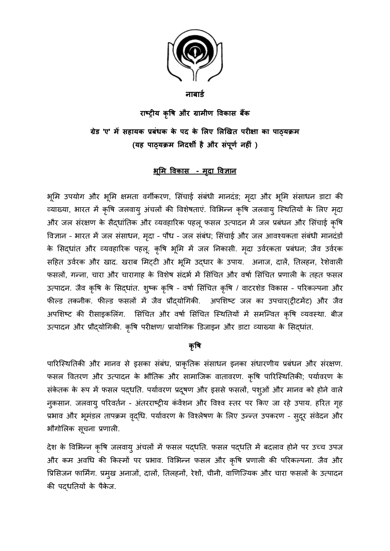

### **नाबार्ड**

**राष्ट रीय कृष और ्र मीणाविक र ां ब**  ग्रेड 'ए' में सहायक प्रबंधक के पद के लिए लिखित परीक्षा का पाठ्**यक्रम (य कृषह पाठ्य कृषक्रव ननदर्शी है ्र ंपं कू ड नहीं )**

# <u> भूमि विकास - मृदा विज्ञान</u>

भूमि उपयोग और भूमि क्षमता वर्गीकरण, सिंचाई संबंधी मानदंड; मृदा और भूमि संसाधन डाटा की व्याख्या, भारत में कृषि जलवाय् अंचलों की विशेषताएं. विभिन्न कृषि जलवाय् स्थितियों के लिए मृदा और जल संरक्षण के सैद्धांतिक और व्यवहारिक पहलू फसल उत्पादन में जल प्रबंधन और सिंचाई कृषि विज्ञान - भारत में जल संसाधन, मृदा - पौध - जल संबंध; सिंचाई और जल आवश्यकता संबंधी मानदंडों के सिद्धांत और व्यवहारिक पहलू. कृषि भूमि में जल निकासी. मृदा उर्वरकता प्रबंधन; जैव उर्वरक सहित उर्वरक और खाद. खराब मिट्टी और भूमि उदधार के उपाय. अनाज, दालें, तिलहन, रेशेवाली फसलों, गन्ना, चारा और चारागाह के विशेष संदर्भ में सिंचित और वर्षा सिंचित प्रणाली के तहत फसल उत्पादन. जैव कृषि के सिद्धांत. शुष्क कृषि - वर्षा सिंचित कृषि / वाटरशेड विकास - परिकल्पना और फील्ड तकनीक. फील्ड फसलों में जैव प्रौद्योगिकी. अपशिष्ट जल का उपचार(ट्रीटमेंट) और जैव अपशिष्ट की रीसाइकलिंग. सिंचित और वर्षा सिंचित स्थितियों में समन्वित कृषि व्यवस्था. बीज उत्पादन और प्रौदयोगिकी. कृषि परीक्षण/ प्रायोगिक डिजाइन और डाटा व्याख्या के सिदधांत.

## <u>कृषि</u>

पारिस्थितिकी और मानव से इसका संबंध, प्राकृतिक संसाधन इनका संधारणीय प्रबंधन और संरक्षण. फसल वितरण और उत्पादन के भौतिक और सामाजिक वातावरण. कृषि पारिस्थितिकी; पर्यावरण के संकेतक के रूप में फसल पदधति. पर्यावरण प्रदूषण और इससे फसलों, पशुओं और मानव को होने वाले नकसान. जलवाय् परिवर्तन - अंतरराष्ट्रीय कंवेंशन और विश्व स्तर पर किए जा रहे उपाय. हरित गृह प्रभाव और भूमंडल तापक्रम वृद्धि. पर्यावरण के विश्लेषण के लिए उन्न्त उपकरण - सुदूर संवेदन और भौगोलिक सूचना प्रणाली.

देश के विभिन्न कृषि जलवाय् अंचलों में फसल पदधति. फसल पदधति में बदलाव होने पर उच्च उपज और कम अवधि की किस्मों पर प्रभाव. विभिन्न फसल और कृषि प्रणाली की परिकल्पना. जैव और प्रिसिजन फार्मिंग. प्रमुख अनाजों, दालों, तिलहनों, रेशों, चीनी, वाणिज्यिक और चारा फसलों के उत्पादन की पद्धतियों के पैकेज.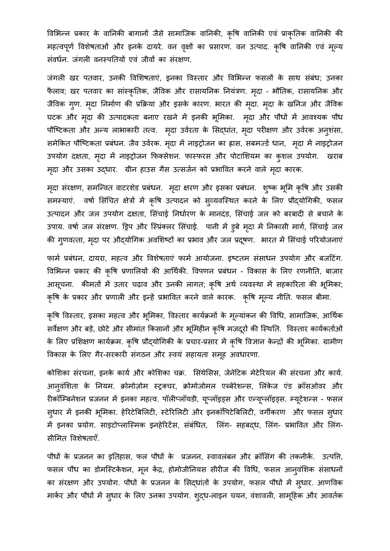विभिन्न प्रकार के वानिकी बागानों जैसे सामाजिक वानिकी, कृषि वानिकी एवं प्राकृतिक वानिकी की महत्वपूर्ण विशेषताओं और इनके दायरे. वन वृक्षों का प्रसारण. वन उत्पाद. कृषि वानिकी एवं मूल्य संवर्धन. जंगली वनस्पतियों एवं जीवों का संरक्षण.

जंगली खर पतवार, उनकी विशिषताएं, इनका विस्तार और विभिन्न फसलों के साथ संबंध; उनका फैलाव; खर पतवार का सांस्कृतिक, जैविक और रासायनिक नियंत्रण. मृदा - भौतिक, रासायनिक और जैविक ग्ण. मृदा निर्माण की प्रक्रिया और इसके कारण. भारत की मृदा. मृदा के खनिज और जैविक घटक और मृदा की उत्पादकता बनाए रखने में इनकी भूमिका. मृदा और पौधों में आवश्यक पौध पौष्टिकता और अन्य लाभाकारी तत्व. मृदा उर्वरता के सिद्धांत, मृदा परीक्षण और उर्वरक अनुशंसा, समेकित पौष्टिकता प्रबंधन. जैव उर्वरक. मृदा में नाइट्रोजन का ह्रास, सबमर्ज्ड धान, मृदा में नाइट्रोजन उपयोग दक्षता, मृदा में नाइट्रोजन फिक्सेशन. फास्फरस और पोटाशियम का कुशल उपयोग. खराब मृदा और उसका उद्धार. ग्रीन हाउस गैस उत्सर्जन को प्रभावित करने वाले मृदा कारक.

मृदा संरक्षण, समन्वित वाटरशेड प्रबंधन. मृदा क्षरण और इसका प्रबंधन. शुष्क भूमि कृषि और उसकी समस्याएं. वर्षा सिंचित क्षेत्रों में कृषि उत्पादन को स्**व्यवस्थित करने के लिए प्रौद्**योगिकी, फसल उत्पादन और जल उपयोग दक्षता, सिंचाई निर्धारण के मानदंड, सिंचाई जल को बरबादी से बचाने के उपाय. वर्षा जल संरक्षण. ड्रिप और स्प्रिंक्लर सिंचाई. पानी में ड्रबे मृदा में निकासी मार्ग, सिंचाई जल की गृणवत्ता, मृदा पर औदयोगिक अवशिष्टों का प्रभाव और जल प्रदुषण. भारत में सिंचाई परियोजनाएं

फार्म प्रबंधन, दायरा, महत्व और विशेषताएं फार्म आयोजना. इष्टतम संसाधन उपयोग और बजटिंग. विभिन्न प्रकार की कृषि प्रणालियों की आर्थिकी. विपणन प्रबंधन - विकास के लिए रणनीति, बाजार आसूचना. कीमतों में उतार चढ़ाव और उनकी लागत; कृषि अर्थ व्यवस्था में सहकारिता की भूमिका; कृषि के प्रकार और प्रणाली और इन्हें प्रभावित करने वाले कारक. कृषि मूल्य नीति. फसल बीमा.

कृषि विस्तार, इसका महत्व और भूमिका, विस्तार कार्यक्रमों के मूल्यांकन की विधि, सामाजिक, आर्थिक सर्वेक्षण और बड़े, छोटे और सीमांत किसानों और भूमिहीन कृषि मज़दूरों की स्थिति. विस्तार कार्यकर्ताओं के लिए प्रशिक्षण कार्यक्रम. कृषि प्रौद्योगिकी के प्रचार-प्रसार में कृषि विज्ञान केन्द्रों की भूमिका. ग्रामीण विकास के लिए गैर-सरकारी संगठन और स्वयं सहायता समूह अवधारणा.

कोशिका संरचना, इनके कार्य और कोशिका चक्र. सिंथेसिस, जेनेटिक मेटेरियल की संरचना और कार्य. आन्वंशिता के नियम. क्रोमोज़ोम स्ट्रक्चर, क्रोमोजोमल एब्बेरेशन्स, लिंकेज एंड क्रॉसओवर और रीकॉम्बिनेशन प्रजनन में इनका महत्व. पॉलीप्लॉयडी, यूप्लॉइड्स और एन्यूप्लॉइड्स. म्यूटेशन्स - फसल स्धार में इनकी भूमिका. हेरिटेबिलिटी, स्टेरिलिटी और इनकॉपिटेबिलिटी, वर्गीकरण और फसल स्धार मैं इनका प्रयोग. साइटोप्लास्मिक इनहेरिटेंस, संबंधित, लिंग- सहबद्ध, लिंग- प्रभावित और लिंग-सीमित विशेषताएँ.

पौधों के प्रजनन का इतिहास, फल पौधों के प्रजनन, स्वावलंबन और क्रॉसिंग की तकनीकें. उत्पत्ति, फसल पौध का डोमस्टिकेशन, मूल केंद्र, होमोजीनियस सीरीज की विधि, फसल आन्**वंशिक संसाधनों** का संरक्षण और उपयोग. पौधों के प्रजनन के सिदधांतों के उपयोग, फसल पौधों में सुधार. आणविक मार्कर और पौधों में सुधार के लिए उनका उपयोग. श्**द्**ध-लाइन चयन, वंशावली, सामूहिक और आवर्तक